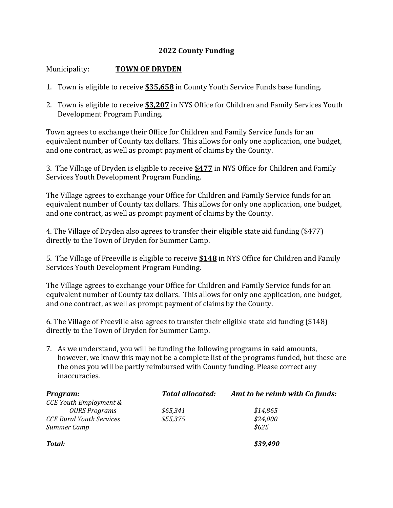## **2022 County Funding**

## Municipality: **TOWN OF DRYDEN**

- 1. Town is eligible to receive **\$35,658** in County Youth Service Funds base funding.
- 2. Town is eligible to receive **\$3,207** in NYS Office for Children and Family Services Youth Development Program Funding.

Town agrees to exchange their Office for Children and Family Service funds for an equivalent number of County tax dollars. This allows for only one application, one budget, and one contract, as well as prompt payment of claims by the County.

3. The Village of Dryden is eligible to receive **\$477** in NYS Office for Children and Family Services Youth Development Program Funding.

The Village agrees to exchange your Office for Children and Family Service funds for an equivalent number of County tax dollars. This allows for only one application, one budget, and one contract, as well as prompt payment of claims by the County.

4. The Village of Dryden also agrees to transfer their eligible state aid funding (\$477) directly to the Town of Dryden for Summer Camp.

5. The Village of Freeville is eligible to receive **\$148** in NYS Office for Children and Family Services Youth Development Program Funding.

The Village agrees to exchange your Office for Children and Family Service funds for an equivalent number of County tax dollars. This allows for only one application, one budget, and one contract, as well as prompt payment of claims by the County.

6. The Village of Freeville also agrees to transfer their eligible state aid funding (\$148) directly to the Town of Dryden for Summer Camp.

7. As we understand, you will be funding the following programs in said amounts, however, we know this may not be a complete list of the programs funded, but these are the ones you will be partly reimbursed with County funding. Please correct any inaccuracies.

| <u>Program:</u>                 | <b>Total allocated:</b> | <u>Amt to be reimb with Co funds:</u> |
|---------------------------------|-------------------------|---------------------------------------|
| CCE Youth Employment &          |                         |                                       |
| <b>OURS Programs</b>            | \$65,341                | \$14,865                              |
| <b>CCE Rural Youth Services</b> | \$55,375                | \$24,000                              |
| Summer Camp                     |                         | \$625                                 |
| Total:                          |                         | \$39,490                              |